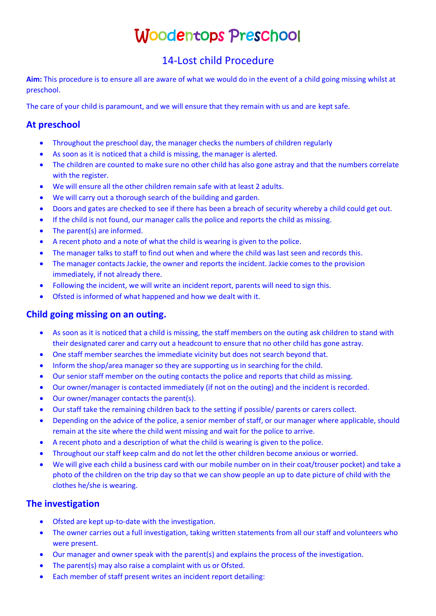# Woodentops Preschool

# 14-Lost child Procedure

**Aim:** This procedure is to ensure all are aware of what we would do in the event of a child going missing whilst at preschool.

The care of your child is paramount, and we will ensure that they remain with us and are kept safe.

### **At preschool**

- Throughout the preschool day, the manager checks the numbers of children regularly
- As soon as it is noticed that a child is missing, the manager is alerted.
- The children are counted to make sure no other child has also gone astray and that the numbers correlate with the register.
- We will ensure all the other children remain safe with at least 2 adults.
- We will carry out a thorough search of the building and garden.
- Doors and gates are checked to see if there has been a breach of security whereby a child could get out.
- If the child is not found, our manager calls the police and reports the child as missing.
- The parent(s) are informed.
- A recent photo and a note of what the child is wearing is given to the police.
- The manager talks to staff to find out when and where the child was last seen and records this.
- The manager contacts Jackie, the owner and reports the incident. Jackie comes to the provision immediately, if not already there.
- Following the incident, we will write an incident report, parents will need to sign this.
- Ofsted is informed of what happened and how we dealt with it.

#### **Child going missing on an outing.**

- As soon as it is noticed that a child is missing, the staff members on the outing ask children to stand with their designated carer and carry out a headcount to ensure that no other child has gone astray.
- One staff member searches the immediate vicinity but does not search beyond that.
- Inform the shop/area manager so they are supporting us in searching for the child.
- Our senior staff member on the outing contacts the police and reports that child as missing.
- Our owner/manager is contacted immediately (if not on the outing) and the incident is recorded.
- Our owner/manager contacts the parent(s).
- Our staff take the remaining children back to the setting if possible/ parents or carers collect.
- Depending on the advice of the police, a senior member of staff, or our manager where applicable, should remain at the site where the child went missing and wait for the police to arrive.
- A recent photo and a description of what the child is wearing is given to the police.
- Throughout our staff keep calm and do not let the other children become anxious or worried.
- We will give each child a business card with our mobile number on in their coat/trouser pocket) and take a photo of the children on the trip day so that we can show people an up to date picture of child with the clothes he/she is wearing.

#### **The investigation**

- Ofsted are kept up-to-date with the investigation.
- The owner carries out a full investigation, taking written statements from all our staff and volunteers who were present.
- Our manager and owner speak with the parent(s) and explains the process of the investigation.
- The parent(s) may also raise a complaint with us or Ofsted.
- Each member of staff present writes an incident report detailing: